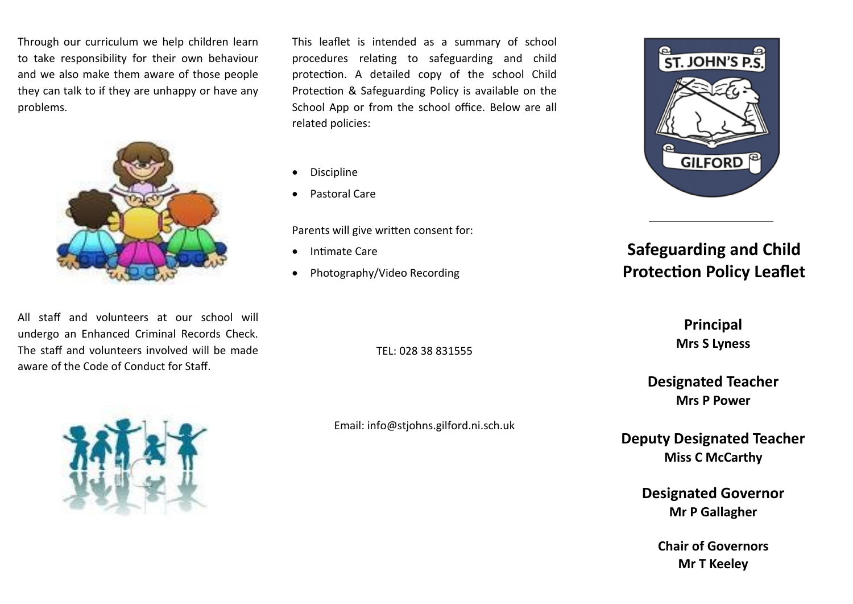to take responsibility for their own behaviour they can talk to if they are unhappy or have any **c** during the school  $\alpha$ Through our curriculum we help children learn and we also make them aware of those people problems.



All staff and volunteers at our school will undergo an Enhanced Criminal Records Check. The staff and volunteers involved will be made aware of the Code of Conduct for Staff.

This leaflet is intended as a summary of school procedures relating to safeguarding and child protection. A detailed copy of the school Child Protection & Safeguarding Policy is available on the School App or from the school office. Below are all related policies:

- Discipline
- Pastoral Care

Parents will give written consent for:

- Intimate Care
- Photography/Video Recording



# **Safeguarding and Child Protection Policy Leaflet**

TEL: 028 38 831555

Email: [info@stjohns.gilford.ni.sch.uk](mailto:info@st.laurences.belleeks.ni.sch.uk)

**Principal Mrs S Lyness**

**Designated Teacher Mrs P Power**

**Deputy Designated Teacher Miss C McCarthy**

> **Designated Governor Mr P Gallagher**

**Chair of Governors Mr T Keeley**